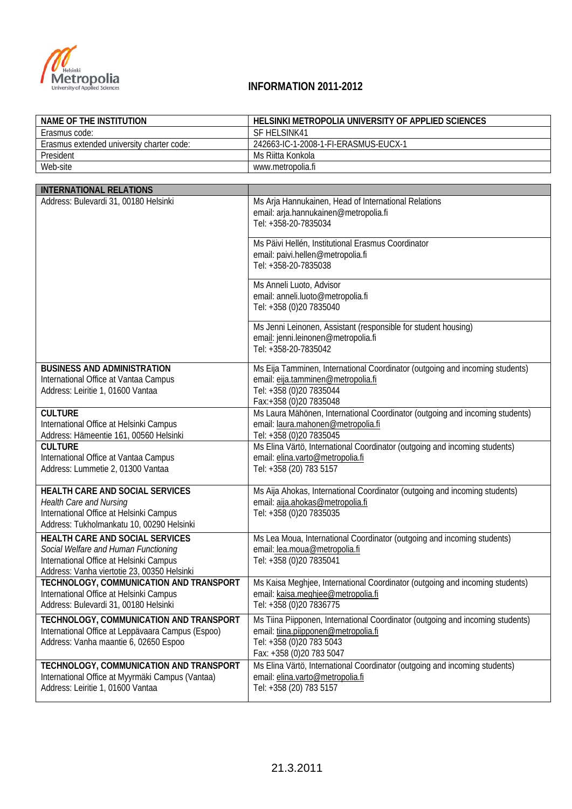

| <b>NAME OF THE INSTITUTION</b>                                                         | HELSINKI METROPOLIA UNIVERSITY OF APPLIED SCIENCES                                                                 |
|----------------------------------------------------------------------------------------|--------------------------------------------------------------------------------------------------------------------|
| Erasmus code:                                                                          | SF HELSINK41                                                                                                       |
| Erasmus extended university charter code:                                              | 242663-IC-1-2008-1-FI-ERASMUS-EUCX-1                                                                               |
| President                                                                              | Ms Riitta Konkola                                                                                                  |
| Web-site                                                                               | www.metropolia.fi                                                                                                  |
|                                                                                        |                                                                                                                    |
| <b>INTERNATIONAL RELATIONS</b>                                                         |                                                                                                                    |
| Address: Bulevardi 31, 00180 Helsinki                                                  | Ms Arja Hannukainen, Head of International Relations                                                               |
|                                                                                        | email: arja.hannukainen@metropolia.fi                                                                              |
|                                                                                        | Tel: +358-20-7835034                                                                                               |
|                                                                                        | Ms Päivi Hellén, Institutional Erasmus Coordinator                                                                 |
|                                                                                        | email: paivi.hellen@metropolia.fi                                                                                  |
|                                                                                        | Tel: +358-20-7835038                                                                                               |
|                                                                                        |                                                                                                                    |
|                                                                                        | Ms Anneli Luoto, Advisor                                                                                           |
|                                                                                        | email: anneli.luoto@metropolia.fi                                                                                  |
|                                                                                        | Tel: +358 (0)20 7835040                                                                                            |
|                                                                                        | Ms Jenni Leinonen, Assistant (responsible for student housing)                                                     |
|                                                                                        | email: jenni.leinonen@metropolia.fi                                                                                |
|                                                                                        | Tel: +358-20-7835042                                                                                               |
|                                                                                        |                                                                                                                    |
| <b>BUSINESS AND ADMINISTRATION</b>                                                     | Ms Eija Tamminen, International Coordinator (outgoing and incoming students)                                       |
| International Office at Vantaa Campus                                                  | email: eija.tamminen@metropolia.fi<br>Tel: +358 (0)20 7835044                                                      |
| Address: Leiritie 1, 01600 Vantaa                                                      | Fax:+358 (0)20 7835048                                                                                             |
| <b>CULTURE</b>                                                                         | Ms Laura Mähönen, International Coordinator (outgoing and incoming students)                                       |
| International Office at Helsinki Campus                                                | email: laura.mahonen@metropolia.fi                                                                                 |
| Address: Hämeentie 161, 00560 Helsinki                                                 | Tel: +358 (0)20 7835045                                                                                            |
| <b>CULTURE</b>                                                                         | Ms Elina Värtö, International Coordinator (outgoing and incoming students)                                         |
| International Office at Vantaa Campus                                                  | email: elina.varto@metropolia.fi                                                                                   |
| Address: Lummetie 2, 01300 Vantaa                                                      | Tel: +358 (20) 783 5157                                                                                            |
|                                                                                        |                                                                                                                    |
| HEALTH CARE AND SOCIAL SERVICES                                                        | Ms Aija Ahokas, International Coordinator (outgoing and incoming students)                                         |
| <b>Health Care and Nursing</b>                                                         | email: aija.ahokas@metropolia.fi                                                                                   |
| International Office at Helsinki Campus                                                | Tel: +358 (0)20 7835035                                                                                            |
| Address: Tukholmankatu 10, 00290 Helsinki                                              |                                                                                                                    |
| HEALTH CARE AND SOCIAL SERVICES                                                        | Ms Lea Moua, International Coordinator (outgoing and incoming students)                                            |
| Social Welfare and Human Functioning                                                   | email: lea.moua@metropolia.fi                                                                                      |
| International Office at Helsinki Campus                                                | Tel: +358 (0)20 7835041                                                                                            |
| Address: Vanha viertotie 23, 00350 Helsinki<br>TECHNOLOGY, COMMUNICATION AND TRANSPORT |                                                                                                                    |
| International Office at Helsinki Campus                                                | Ms Kaisa Meghjee, International Coordinator (outgoing and incoming students)<br>email: kaisa.meghjee@metropolia.fi |
| Address: Bulevardi 31, 00180 Helsinki                                                  | Tel: +358 (0)20 7836775                                                                                            |
|                                                                                        |                                                                                                                    |

| AUGULESS. DUIEVALUI JT, UUTOU HEISIHNI                                                                                                | 151.70000101000110                                                                                                                                                             |
|---------------------------------------------------------------------------------------------------------------------------------------|--------------------------------------------------------------------------------------------------------------------------------------------------------------------------------|
| TECHNOLOGY, COMMUNICATION AND TRANSPORT<br>International Office at Leppävaara Campus (Espoo)<br>Address: Vanha maantie 6, 02650 Espoo | Ms Tiina Piipponen, International Coordinator (outgoing and incoming students)<br>email: tiina.piipponen@metropolia.fi<br>Tel: +358 (0)20 783 5043<br>Fax: +358 (0)20 783 5047 |
| TECHNOLOGY, COMMUNICATION AND TRANSPORT<br>International Office at Myyrmäki Campus (Vantaa)<br>Address: Leiritie 1, 01600 Vantaa      | Ms Elina Värtö, International Coordinator (outgoing and incoming students)<br>email: elina.varto@metropolia.fi<br>Tel: +358 (20) 783 5157                                      |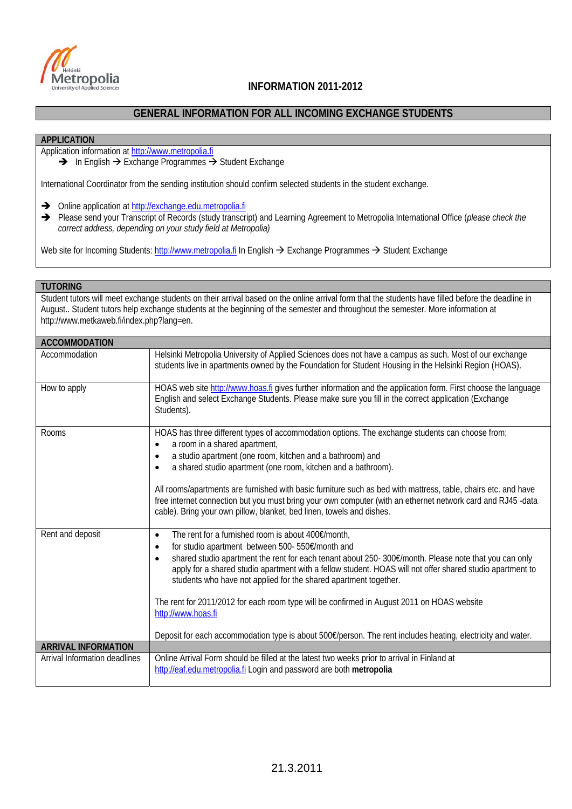

## **Metropolia**<br>INFORMATION 2011-2012

### **GENERAL INFORMATION FOR ALL INCOMING EXCHANGE STUDENTS**

### **APPLICATION**

Application information at http://www.metropolia.fi

 $\rightarrow$  In English  $\rightarrow$  Exchange Programmes  $\rightarrow$  Student Exchange

International Coordinator from the sending institution should confirm selected students in the student exchange.

Online application at http://exchange.edu.metropolia.fi

→ Please send your Transcript of Records (study transcript) and Learning Agreement to Metropolia International Office (*please check the correct address, depending on your study field at Metropolia)*

Web site for Incoming Students: http://www.metropolia.fi In English  $\rightarrow$  Exchange Programmes  $\rightarrow$  Student Exchange

### **TUTORING**

Student tutors will meet exchange students on their arrival based on the online arrival form that the students have filled before the deadline in August.. Student tutors help exchange students at the beginning of the semester and throughout the semester. More information at http://www.metkaweb.fi/index.php?lang=en.

| <b>ACCOMMODATION</b>          |                                                                                                                                                                                                                                                                                                                                                                                                                                                                                                                                                                                                                                                                           |
|-------------------------------|---------------------------------------------------------------------------------------------------------------------------------------------------------------------------------------------------------------------------------------------------------------------------------------------------------------------------------------------------------------------------------------------------------------------------------------------------------------------------------------------------------------------------------------------------------------------------------------------------------------------------------------------------------------------------|
| Accommodation                 | Helsinki Metropolia University of Applied Sciences does not have a campus as such. Most of our exchange<br>students live in apartments owned by the Foundation for Student Housing in the Helsinki Region (HOAS).                                                                                                                                                                                                                                                                                                                                                                                                                                                         |
| How to apply                  | HOAS web site http://www.hoas.fi gives further information and the application form. First choose the language<br>English and select Exchange Students. Please make sure you fill in the correct application (Exchange<br>Students).                                                                                                                                                                                                                                                                                                                                                                                                                                      |
| Rooms                         | HOAS has three different types of accommodation options. The exchange students can choose from;<br>a room in a shared apartment,<br>$\bullet$<br>a studio apartment (one room, kitchen and a bathroom) and<br>$\bullet$<br>a shared studio apartment (one room, kitchen and a bathroom).<br>$\bullet$<br>All rooms/apartments are furnished with basic furniture such as bed with mattress, table, chairs etc. and have<br>free internet connection but you must bring your own computer (with an ethernet network card and RJ45 -data<br>cable). Bring your own pillow, blanket, bed linen, towels and dishes.                                                           |
| Rent and deposit              | The rent for a furnished room is about 400€/month,<br>$\bullet$<br>for studio apartment between 500- 550€/month and<br>$\bullet$<br>shared studio apartment the rent for each tenant about 250-300€/month. Please note that you can only<br>$\bullet$<br>apply for a shared studio apartment with a fellow student. HOAS will not offer shared studio apartment to<br>students who have not applied for the shared apartment together.<br>The rent for 2011/2012 for each room type will be confirmed in August 2011 on HOAS website<br>http://www.hoas.fi<br>Deposit for each accommodation type is about 500€/person. The rent includes heating, electricity and water. |
| <b>ARRIVAL INFORMATION</b>    |                                                                                                                                                                                                                                                                                                                                                                                                                                                                                                                                                                                                                                                                           |
| Arrival Information deadlines | Online Arrival Form should be filled at the latest two weeks prior to arrival in Finland at<br>http://eaf.edu.metropolia.fi Login and password are both metropolia                                                                                                                                                                                                                                                                                                                                                                                                                                                                                                        |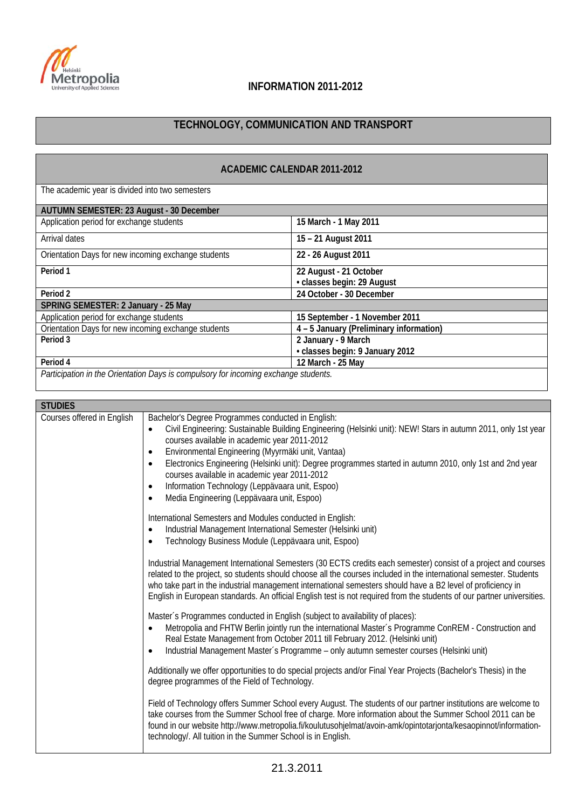

# **Metropolia**<br>
University of Applied Sciences<br> **INFORMATION 2011-2012**

## **TECHNOLOGY, COMMUNICATION AND TRANSPORT**

| <b>ACADEMIC CALENDAR 2011-2012</b>                                                 |                                                      |  |
|------------------------------------------------------------------------------------|------------------------------------------------------|--|
| The academic year is divided into two semesters                                    |                                                      |  |
| AUTUMN SEMESTER: 23 August - 30 December                                           |                                                      |  |
| Application period for exchange students                                           | 15 March - 1 May 2011                                |  |
| Arrival dates                                                                      | 15 - 21 August 2011                                  |  |
| Orientation Days for new incoming exchange students                                | 22 - 26 August 2011                                  |  |
| Period <sub>1</sub>                                                                | 22 August - 21 October<br>· classes begin: 29 August |  |
| Period <sub>2</sub>                                                                | 24 October - 30 December                             |  |
| SPRING SEMESTER: 2 January - 25 May                                                |                                                      |  |
| Application period for exchange students                                           | 15 September - 1 November 2011                       |  |
| Orientation Days for new incoming exchange students                                | 4 - 5 January (Preliminary information)              |  |
| Period 3                                                                           | 2 January - 9 March                                  |  |
|                                                                                    | · classes begin: 9 January 2012                      |  |
| Period 4                                                                           | 12 March - 25 May                                    |  |
| Particination in the Orientation Days is compulsory for incoming exchange students |                                                      |  |

*Participation in the Orientation Days is compulsory for incoming exchange students.*

| <b>STUDIES</b>             |                                                                                                                                                                                                                                                                                                                                                                                                                                                                                                                                                                                                        |  |
|----------------------------|--------------------------------------------------------------------------------------------------------------------------------------------------------------------------------------------------------------------------------------------------------------------------------------------------------------------------------------------------------------------------------------------------------------------------------------------------------------------------------------------------------------------------------------------------------------------------------------------------------|--|
| Courses offered in English | Bachelor's Degree Programmes conducted in English:<br>Civil Engineering: Sustainable Building Engineering (Helsinki unit): NEW! Stars in autumn 2011, only 1st year<br>$\bullet$<br>courses available in academic year 2011-2012<br>Environmental Engineering (Myyrmäki unit, Vantaa)<br>$\bullet$<br>Electronics Engineering (Helsinki unit): Degree programmes started in autumn 2010, only 1st and 2nd year<br>$\bullet$<br>courses available in academic year 2011-2012<br>Information Technology (Leppävaara unit, Espoo)<br>$\bullet$<br>Media Engineering (Leppävaara unit, Espoo)<br>$\bullet$ |  |
|                            | International Semesters and Modules conducted in English:<br>Industrial Management International Semester (Helsinki unit)<br>$\epsilon$<br>Technology Business Module (Leppävaara unit, Espoo)                                                                                                                                                                                                                                                                                                                                                                                                         |  |
|                            | Industrial Management International Semesters (30 ECTS credits each semester) consist of a project and courses<br>related to the project, so students should choose all the courses included in the international semester. Students<br>who take part in the industrial management international semesters should have a B2 level of proficiency in<br>English in European standards. An official English test is not required from the students of our partner universities.                                                                                                                          |  |
|                            | Master's Programmes conducted in English (subject to availability of places):<br>Metropolia and FHTW Berlin jointly run the international Master's Programme ConREM - Construction and<br>Real Estate Management from October 2011 till February 2012. (Helsinki unit)<br>Industrial Management Master's Programme - only autumn semester courses (Helsinki unit)<br>Ċ                                                                                                                                                                                                                                 |  |
|                            | Additionally we offer opportunities to do special projects and/or Final Year Projects (Bachelor's Thesis) in the<br>degree programmes of the Field of Technology.                                                                                                                                                                                                                                                                                                                                                                                                                                      |  |
|                            | Field of Technology offers Summer School every August. The students of our partner institutions are welcome to<br>take courses from the Summer School free of charge. More information about the Summer School 2011 can be<br>found in our website http://www.metropolia.fi/koulutusohjelmat/avoin-amk/opintotarjonta/kesaopinnot/information-<br>technology/. All tuition in the Summer School is in English.                                                                                                                                                                                         |  |